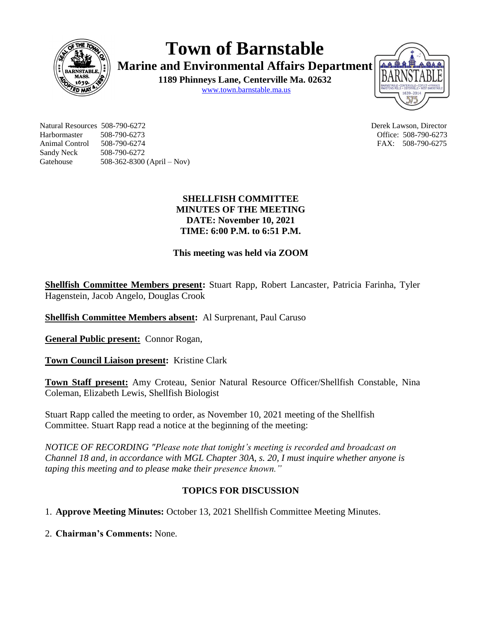

**Town of Barnstable Marine and Environmental Affairs Department**

**1189 Phinneys Lane, Centerville Ma. 02632** [www.town.barnstable.ma.us](http://www.town.barnstable.ma.us/)



Natural Resources 508-790-6272 Derek Lawson, Director Harbormaster 508-790-6273 Office: 508-790-6273 Animal Control 508-790-6274 FAX: 508-790-6275 Sandy Neck 508-790-6272 Gatehouse 508-362-8300 (April – Nov)

### **SHELLFISH COMMITTEE MINUTES OF THE MEETING DATE: November 10, 2021 TIME: 6:00 P.M. to 6:51 P.M.**

## **This meeting was held via ZOOM**

**Shellfish Committee Members present:** Stuart Rapp, Robert Lancaster, Patricia Farinha, Tyler Hagenstein, Jacob Angelo, Douglas Crook

**Shellfish Committee Members absent:** Al Surprenant, Paul Caruso

**General Public present:** Connor Rogan,

**Town Council Liaison present:** Kristine Clark

**Town Staff present:** Amy Croteau, Senior Natural Resource Officer/Shellfish Constable, Nina Coleman, Elizabeth Lewis, Shellfish Biologist

Stuart Rapp called the meeting to order, as November 10, 2021 meeting of the Shellfish Committee. Stuart Rapp read a notice at the beginning of the meeting:

*NOTICE OF RECORDING "Please note that tonight's meeting is recorded and broadcast on Channel 18 and, in accordance with MGL Chapter 30A, s. 20, I must inquire whether anyone is taping this meeting and to please make their presence known."*

# **TOPICS FOR DISCUSSION**

1. **Approve Meeting Minutes:** October 13, 2021 Shellfish Committee Meeting Minutes.

2. **Chairman's Comments:** None.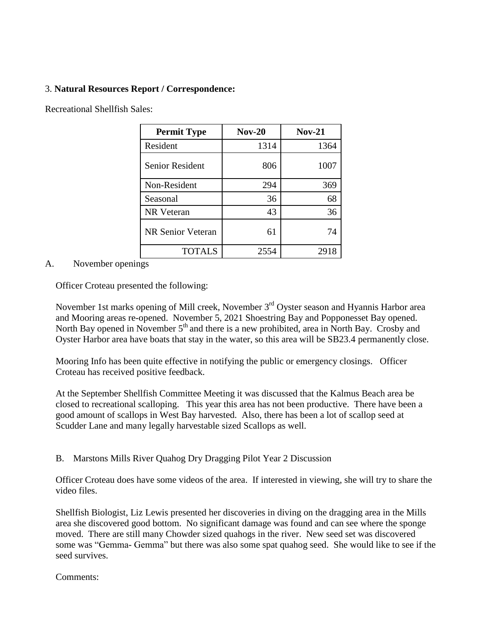#### 3. **Natural Resources Report / Correspondence:**

Recreational Shellfish Sales:

| <b>Permit Type</b>       | <b>Nov-20</b> | $Nov-21$ |
|--------------------------|---------------|----------|
| Resident                 | 1314          | 1364     |
| <b>Senior Resident</b>   | 806           | 1007     |
| Non-Resident             | 294           | 369      |
| Seasonal                 | 36            | 68       |
| <b>NR</b> Veteran        | 43            | 36       |
| <b>NR Senior Veteran</b> | 61            | 74       |
| <b>TOTALS</b>            | 2554          | 2918     |

#### A. November openings

Officer Croteau presented the following:

November 1st marks opening of Mill creek, November 3<sup>rd</sup> Oyster season and Hyannis Harbor area and Mooring areas re-opened. November 5, 2021 Shoestring Bay and Popponesset Bay opened. North Bay opened in November  $5<sup>th</sup>$  and there is a new prohibited, area in North Bay. Crosby and Oyster Harbor area have boats that stay in the water, so this area will be SB23.4 permanently close.

Mooring Info has been quite effective in notifying the public or emergency closings. Officer Croteau has received positive feedback.

At the September Shellfish Committee Meeting it was discussed that the Kalmus Beach area be closed to recreational scalloping. This year this area has not been productive. There have been a good amount of scallops in West Bay harvested. Also, there has been a lot of scallop seed at Scudder Lane and many legally harvestable sized Scallops as well.

B. Marstons Mills River Quahog Dry Dragging Pilot Year 2 Discussion

Officer Croteau does have some videos of the area. If interested in viewing, she will try to share the video files.

Shellfish Biologist, Liz Lewis presented her discoveries in diving on the dragging area in the Mills area she discovered good bottom. No significant damage was found and can see where the sponge moved. There are still many Chowder sized quahogs in the river. New seed set was discovered some was "Gemma- Gemma" but there was also some spat quahog seed. She would like to see if the seed survives.

Comments: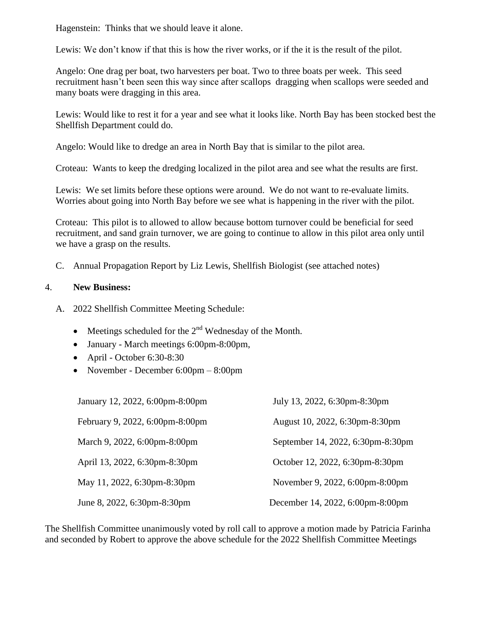Hagenstein: Thinks that we should leave it alone.

Lewis: We don't know if that this is how the river works, or if the it is the result of the pilot.

Angelo: One drag per boat, two harvesters per boat. Two to three boats per week. This seed recruitment hasn't been seen this way since after scallops dragging when scallops were seeded and many boats were dragging in this area.

Lewis: Would like to rest it for a year and see what it looks like. North Bay has been stocked best the Shellfish Department could do.

Angelo: Would like to dredge an area in North Bay that is similar to the pilot area.

Croteau: Wants to keep the dredging localized in the pilot area and see what the results are first.

Lewis: We set limits before these options were around. We do not want to re-evaluate limits. Worries about going into North Bay before we see what is happening in the river with the pilot.

Croteau: This pilot is to allowed to allow because bottom turnover could be beneficial for seed recruitment, and sand grain turnover, we are going to continue to allow in this pilot area only until we have a grasp on the results.

C. Annual Propagation Report by Liz Lewis, Shellfish Biologist (see attached notes)

## 4. **New Business:**

- A. 2022 Shellfish Committee Meeting Schedule:
	- Meetings scheduled for the  $2<sup>nd</sup>$  Wednesday of the Month.
	- January March meetings 6:00pm-8:00pm,
	- $\bullet$  April October 6:30-8:30
	- November December 6:00pm 8:00pm

| January 12, 2022, 6:00pm-8:00pm | July 13, 2022, 6:30pm-8:30pm      |
|---------------------------------|-----------------------------------|
| February 9, 2022, 6:00pm-8:00pm | August 10, 2022, 6:30pm-8:30pm    |
| March 9, 2022, 6:00pm-8:00pm    | September 14, 2022, 6:30pm-8:30pm |
| April 13, 2022, 6:30pm-8:30pm   | October 12, 2022, 6:30pm-8:30pm   |
| May 11, 2022, 6:30pm-8:30pm     | November 9, 2022, 6:00pm-8:00pm   |
| June 8, 2022, 6:30pm-8:30pm     | December 14, 2022, 6:00pm-8:00pm  |

The Shellfish Committee unanimously voted by roll call to approve a motion made by Patricia Farinha and seconded by Robert to approve the above schedule for the 2022 Shellfish Committee Meetings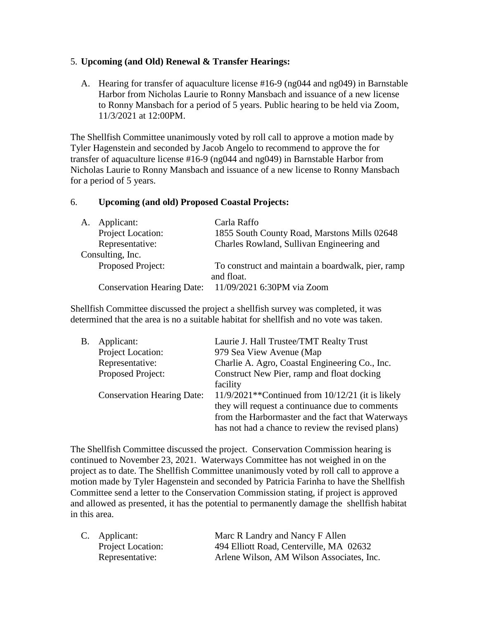#### 5. **Upcoming (and Old) Renewal & Transfer Hearings:**

A. Hearing for transfer of aquaculture license #16-9 (ng044 and ng049) in Barnstable Harbor from Nicholas Laurie to Ronny Mansbach and issuance of a new license to Ronny Mansbach for a period of 5 years. Public hearing to be held via Zoom, 11/3/2021 at 12:00PM.

The Shellfish Committee unanimously voted by roll call to approve a motion made by Tyler Hagenstein and seconded by Jacob Angelo to recommend to approve the for transfer of aquaculture license #16-9 (ng044 and ng049) in Barnstable Harbor from Nicholas Laurie to Ronny Mansbach and issuance of a new license to Ronny Mansbach for a period of 5 years.

#### 6. **Upcoming (and old) Proposed Coastal Projects:**

| A. Applicant:                     | Carla Raffo                                       |
|-----------------------------------|---------------------------------------------------|
| Project Location:                 | 1855 South County Road, Marstons Mills 02648      |
| Representative:                   | Charles Rowland, Sullivan Engineering and         |
| Consulting, Inc.                  |                                                   |
| Proposed Project:                 | To construct and maintain a boardwalk, pier, ramp |
|                                   | and float.                                        |
| <b>Conservation Hearing Date:</b> | 11/09/2021 6:30PM via Zoom                        |

Shellfish Committee discussed the project a shellfish survey was completed, it was determined that the area is no a suitable habitat for shellfish and no vote was taken.

| Β. | Applicant:                        | Laurie J. Hall Trustee/TMT Realty Trust               |
|----|-----------------------------------|-------------------------------------------------------|
|    | Project Location:                 | 979 Sea View Avenue (Map                              |
|    | Representative:                   | Charlie A. Agro, Coastal Engineering Co., Inc.        |
|    | Proposed Project:                 | Construct New Pier, ramp and float docking            |
|    |                                   | facility                                              |
|    | <b>Conservation Hearing Date:</b> | $11/9/2021**$ Continued from $10/12/21$ (it is likely |
|    |                                   | they will request a continuance due to comments       |
|    |                                   | from the Harbormaster and the fact that Waterways     |
|    |                                   | has not had a chance to review the revised plans)     |

The Shellfish Committee discussed the project. Conservation Commission hearing is continued to November 23, 2021. Waterways Committee has not weighed in on the project as to date. The Shellfish Committee unanimously voted by roll call to approve a motion made by Tyler Hagenstein and seconded by Patricia Farinha to have the Shellfish Committee send a letter to the Conservation Commission stating, if project is approved and allowed as presented, it has the potential to permanently damage the shellfish habitat in this area.

| C. Applicant:            | Marc R Landry and Nancy F Allen           |  |
|--------------------------|-------------------------------------------|--|
| <b>Project Location:</b> | 494 Elliott Road, Centerville, MA 02632   |  |
| Representative:          | Arlene Wilson, AM Wilson Associates, Inc. |  |